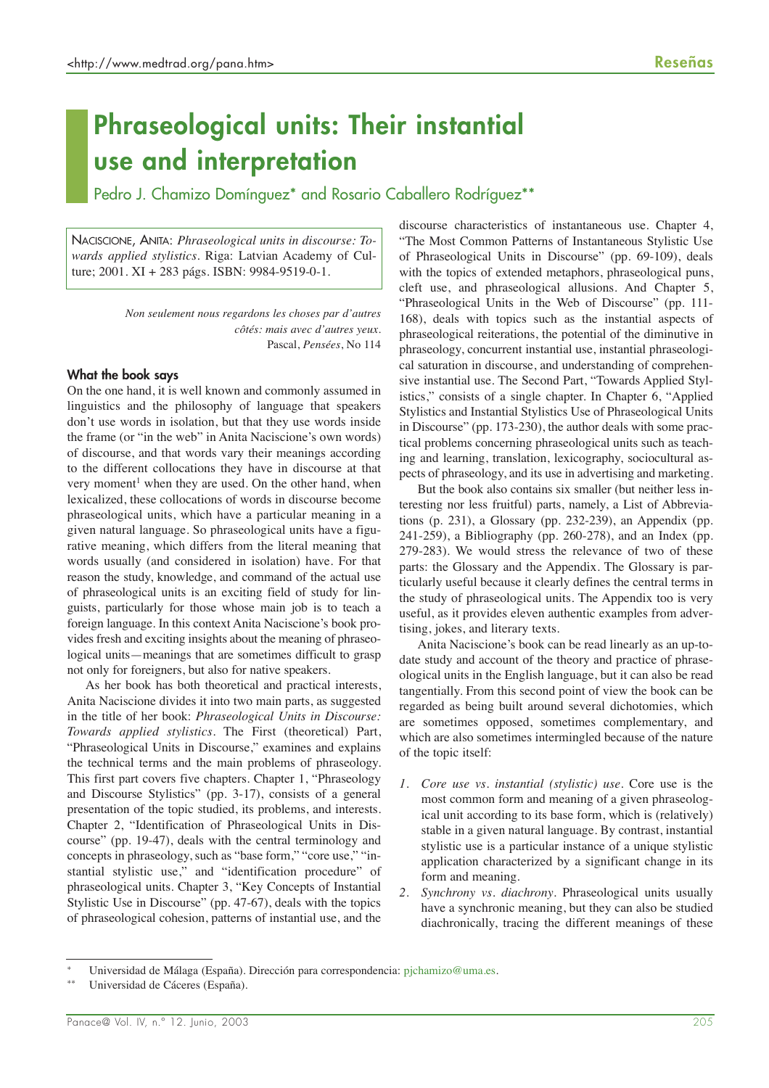# **Phraseological units: Their instantial use and interpretation**

Pedro J. Chamizo Domínguez\* and Rosario Caballero Rodríguez\*\*

NACISCIONE, ANITA: *Phraseological units in discourse: Towards applied stylistics*. Riga: Latvian Academy of Culture; 2001. XI + 283 págs. ISBN: 9984-9519-0-1.

> *Non seulement nous regardons les choses par d'autres côtés: mais avec d'autres yeux.* Pascal, *Pensées*, No 114

## **What the book says**

On the one hand, it is well known and commonly assumed in linguistics and the philosophy of language that speakers don't use words in isolation, but that they use words inside the frame (or "in the web" in Anita Naciscione's own words) of discourse, and that words vary their meanings according to the different collocations they have in discourse at that very moment<sup>1</sup> when they are used. On the other hand, when lexicalized, these collocations of words in discourse become phraseological units, which have a particular meaning in a given natural language. So phraseological units have a figurative meaning, which differs from the literal meaning that words usually (and considered in isolation) have. For that reason the study, knowledge, and command of the actual use of phraseological units is an exciting field of study for linguists, particularly for those whose main job is to teach a foreign language. In this context Anita Naciscione's book provides fresh and exciting insights about the meaning of phraseological units—meanings that are sometimes difficult to grasp not only for foreigners, but also for native speakers.

As her book has both theoretical and practical interests, Anita Naciscione divides it into two main parts, as suggested in the title of her book: *Phraseological Units in Discourse: Towards applied stylistics*. The First (theoretical) Part, "Phraseological Units in Discourse," examines and explains the technical terms and the main problems of phraseology. This first part covers five chapters. Chapter 1, "Phraseology and Discourse Stylistics" (pp. 3-17), consists of a general presentation of the topic studied, its problems, and interests. Chapter 2, "Identification of Phraseological Units in Discourse" (pp. 19-47), deals with the central terminology and concepts in phraseology, such as "base form," "core use," "instantial stylistic use," and "identification procedure" of phraseological units. Chapter 3, "Key Concepts of Instantial Stylistic Use in Discourse" (pp. 47-67), deals with the topics of phraseological cohesion, patterns of instantial use, and the

discourse characteristics of instantaneous use. Chapter 4, "The Most Common Patterns of Instantaneous Stylistic Use of Phraseological Units in Discourse" (pp. 69-109), deals with the topics of extended metaphors, phraseological puns, cleft use, and phraseological allusions. And Chapter 5, "Phraseological Units in the Web of Discourse" (pp. 111- 168), deals with topics such as the instantial aspects of phraseological reiterations, the potential of the diminutive in phraseology, concurrent instantial use, instantial phraseological saturation in discourse, and understanding of comprehensive instantial use. The Second Part, "Towards Applied Stylistics," consists of a single chapter. In Chapter 6, "Applied Stylistics and Instantial Stylistics Use of Phraseological Units in Discourse" (pp. 173-230), the author deals with some practical problems concerning phraseological units such as teaching and learning, translation, lexicography, sociocultural aspects of phraseology, and its use in advertising and marketing.

But the book also contains six smaller (but neither less interesting nor less fruitful) parts, namely, a List of Abbreviations (p. 231), a Glossary (pp. 232-239), an Appendix (pp. 241-259), a Bibliography (pp. 260-278), and an Index (pp. 279-283). We would stress the relevance of two of these parts: the Glossary and the Appendix. The Glossary is particularly useful because it clearly defines the central terms in the study of phraseological units. The Appendix too is very useful, as it provides eleven authentic examples from advertising, jokes, and literary texts.

Anita Naciscione's book can be read linearly as an up-todate study and account of the theory and practice of phraseological units in the English language, but it can also be read tangentially. From this second point of view the book can be regarded as being built around several dichotomies, which are sometimes opposed, sometimes complementary, and which are also sometimes intermingled because of the nature of the topic itself:

- *1. Core use vs. instantial (stylistic) use*. Core use is the most common form and meaning of a given phraseological unit according to its base form, which is (relatively) stable in a given natural language. By contrast, instantial stylistic use is a particular instance of a unique stylistic application characterized by a significant change in its form and meaning.
- *2. Synchrony vs. diachrony*. Phraseological units usually have a synchronic meaning, but they can also be studied diachronically, tracing the different meanings of these

Universidad de Málaga (España). Dirección para correspondencia: pjchamizo@uma.es.

Universidad de Cáceres (España).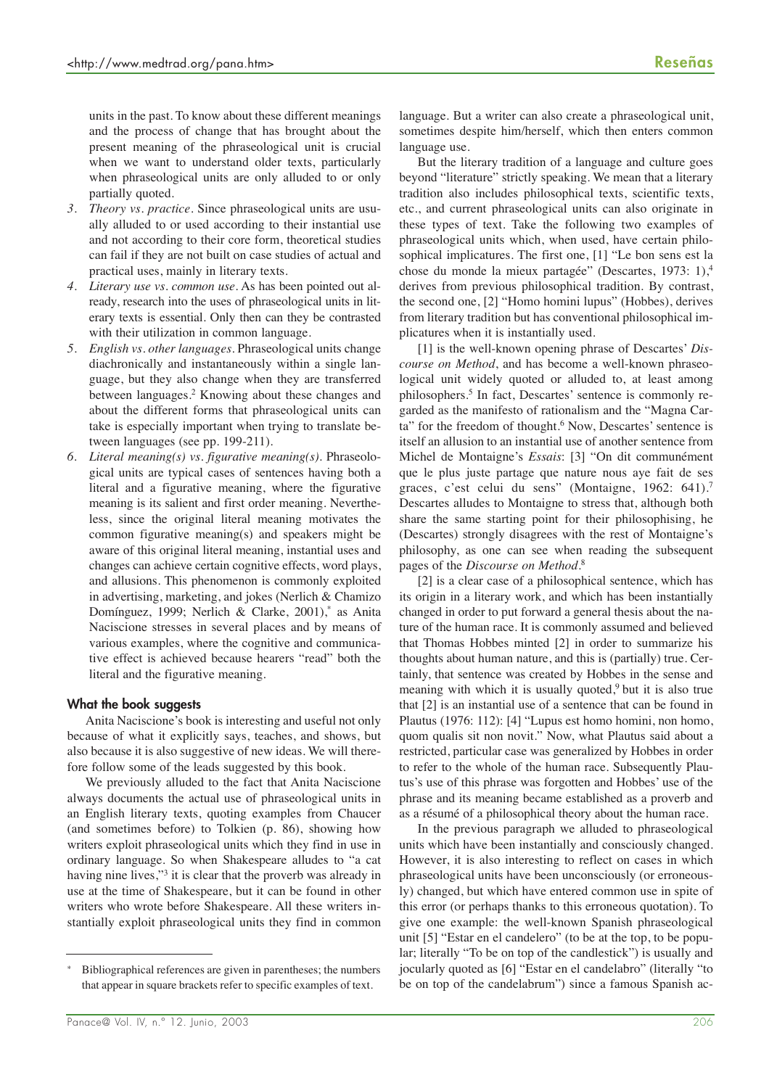units in the past. To know about these different meanings and the process of change that has brought about the present meaning of the phraseological unit is crucial when we want to understand older texts, particularly when phraseological units are only alluded to or only partially quoted.

- *3. Theory vs. practice*. Since phraseological units are usually alluded to or used according to their instantial use and not according to their core form, theoretical studies can fail if they are not built on case studies of actual and practical uses, mainly in literary texts.
- *4. Literary use vs. common use*. As has been pointed out already, research into the uses of phraseological units in literary texts is essential. Only then can they be contrasted with their utilization in common language.
- *5. English vs. other languages*. Phraseological units change diachronically and instantaneously within a single language, but they also change when they are transferred between languages.<sup>2</sup> Knowing about these changes and about the different forms that phraseological units can take is especially important when trying to translate between languages (see pp. 199-211).
- *6. Literal meaning(s) vs. figurative meaning(s)*. Phraseological units are typical cases of sentences having both a literal and a figurative meaning, where the figurative meaning is its salient and first order meaning. Nevertheless, since the original literal meaning motivates the common figurative meaning(s) and speakers might be aware of this original literal meaning, instantial uses and changes can achieve certain cognitive effects, word plays, and allusions. This phenomenon is commonly exploited in advertising, marketing, and jokes (Nerlich & Chamizo Domínguez, 1999; Nerlich & Clarke, 2001), as Anita Naciscione stresses in several places and by means of various examples, where the cognitive and communicative effect is achieved because hearers "read" both the literal and the figurative meaning.

### **What the book suggests**

Anita Naciscione's book is interesting and useful not only because of what it explicitly says, teaches, and shows, but also because it is also suggestive of new ideas. We will therefore follow some of the leads suggested by this book.

We previously alluded to the fact that Anita Naciscione always documents the actual use of phraseological units in an English literary texts, quoting examples from Chaucer (and sometimes before) to Tolkien (p. 86), showing how writers exploit phraseological units which they find in use in ordinary language. So when Shakespeare alludes to "a cat having nine lives,"<sup>3</sup> it is clear that the proverb was already in use at the time of Shakespeare, but it can be found in other writers who wrote before Shakespeare. All these writers instantially exploit phraseological units they find in common

language. But a writer can also create a phraseological unit, sometimes despite him/herself, which then enters common language use.

But the literary tradition of a language and culture goes beyond "literature" strictly speaking. We mean that a literary tradition also includes philosophical texts, scientific texts, etc., and current phraseological units can also originate in these types of text. Take the following two examples of phraseological units which, when used, have certain philosophical implicatures. The first one, [1] "Le bon sens est la chose du monde la mieux partagée" (Descartes, 1973: 1),4 derives from previous philosophical tradition. By contrast, the second one, [2] "Homo homini lupus" (Hobbes), derives from literary tradition but has conventional philosophical implicatures when it is instantially used.

[1] is the well-known opening phrase of Descartes' *Discourse on Method*, and has become a well-known phraseological unit widely quoted or alluded to, at least among philosophers.5 In fact, Descartes' sentence is commonly regarded as the manifesto of rationalism and the "Magna Carta" for the freedom of thought.<sup>6</sup> Now, Descartes' sentence is itself an allusion to an instantial use of another sentence from Michel de Montaigne's *Essais*: [3] "On dit communément que le plus juste partage que nature nous aye fait de ses graces, c'est celui du sens" (Montaigne, 1962: 641).<sup>7</sup> Descartes alludes to Montaigne to stress that, although both share the same starting point for their philosophising, he (Descartes) strongly disagrees with the rest of Montaigne's philosophy, as one can see when reading the subsequent pages of the *Discourse on Method*. 8

[2] is a clear case of a philosophical sentence, which has its origin in a literary work, and which has been instantially changed in order to put forward a general thesis about the nature of the human race. It is commonly assumed and believed that Thomas Hobbes minted [2] in order to summarize his thoughts about human nature, and this is (partially) true. Certainly, that sentence was created by Hobbes in the sense and meaning with which it is usually quoted, $9$  but it is also true that [2] is an instantial use of a sentence that can be found in Plautus (1976: 112): [4] "Lupus est homo homini, non homo, quom qualis sit non novit." Now, what Plautus said about a restricted, particular case was generalized by Hobbes in order to refer to the whole of the human race. Subsequently Plautus's use of this phrase was forgotten and Hobbes' use of the phrase and its meaning became established as a proverb and as a résumé of a philosophical theory about the human race.

In the previous paragraph we alluded to phraseological units which have been instantially and consciously changed. However, it is also interesting to reflect on cases in which phraseological units have been unconsciously (or erroneously) changed, but which have entered common use in spite of this error (or perhaps thanks to this erroneous quotation). To give one example: the well-known Spanish phraseological unit [5] "Estar en el candelero" (to be at the top, to be popular; literally "To be on top of the candlestick") is usually and jocularly quoted as [6] "Estar en el candelabro" (literally "to be on top of the candelabrum") since a famous Spanish ac-

Bibliographical references are given in parentheses; the numbers that appear in square brackets refer to specific examples of text.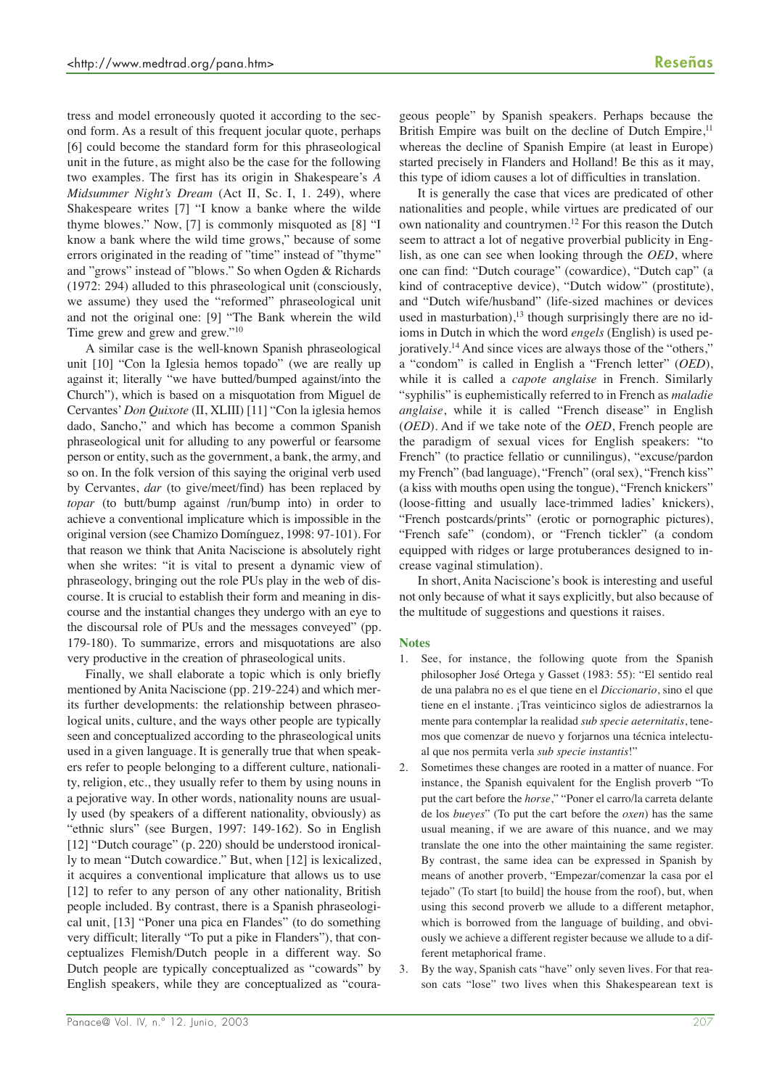tress and model erroneously quoted it according to the second form. As a result of this frequent jocular quote, perhaps [6] could become the standard form for this phraseological unit in the future, as might also be the case for the following two examples. The first has its origin in Shakespeare's *A Midsummer Night's Dream* (Act II, Sc. I, 1. 249), where Shakespeare writes [7] "I know a banke where the wilde thyme blowes." Now, [7] is commonly misquoted as [8] "I know a bank where the wild time grows," because of some errors originated in the reading of "time" instead of "thyme" and "grows" instead of "blows." So when Ogden & Richards

and not the original one: [9] "The Bank wherein the wild Time grew and grew and grew."<sup>10</sup> A similar case is the well-known Spanish phraseological unit [10] "Con la Iglesia hemos topado" (we are really up against it; literally "we have butted/bumped against/into the Church"), which is based on a misquotation from Miguel de Cervantes'*Don Quixote* (II, XLIII) [11] "Con la iglesia hemos dado, Sancho," and which has become a common Spanish phraseological unit for alluding to any powerful or fearsome person or entity, such as the government, a bank, the army, and so on. In the folk version of this saying the original verb used by Cervantes, *dar* (to give/meet/find) has been replaced by *topar* (to butt/bump against /run/bump into) in order to achieve a conventional implicature which is impossible in the original version (see Chamizo Domínguez, 1998: 97-101). For that reason we think that Anita Naciscione is absolutely right when she writes: "it is vital to present a dynamic view of phraseology, bringing out the role PUs play in the web of discourse. It is crucial to establish their form and meaning in discourse and the instantial changes they undergo with an eye to the discoursal role of PUs and the messages conveyed" (pp. 179-180). To summarize, errors and misquotations are also very productive in the creation of phraseological units.

(1972: 294) alluded to this phraseological unit (consciously, we assume) they used the "reformed" phraseological unit

Finally, we shall elaborate a topic which is only briefly mentioned by Anita Naciscione (pp. 219-224) and which merits further developments: the relationship between phraseological units, culture, and the ways other people are typically seen and conceptualized according to the phraseological units used in a given language. It is generally true that when speakers refer to people belonging to a different culture, nationality, religion, etc., they usually refer to them by using nouns in a pejorative way. In other words, nationality nouns are usually used (by speakers of a different nationality, obviously) as "ethnic slurs" (see Burgen, 1997: 149-162). So in English [12] "Dutch courage" (p. 220) should be understood ironically to mean "Dutch cowardice." But, when [12] is lexicalized, it acquires a conventional implicature that allows us to use [12] to refer to any person of any other nationality, British people included. By contrast, there is a Spanish phraseological unit, [13] "Poner una pica en Flandes" (to do something very difficult; literally "To put a pike in Flanders"), that conceptualizes Flemish/Dutch people in a different way. So Dutch people are typically conceptualized as "cowards" by English speakers, while they are conceptualized as "courageous people" by Spanish speakers. Perhaps because the British Empire was built on the decline of Dutch Empire,<sup>11</sup> whereas the decline of Spanish Empire (at least in Europe) started precisely in Flanders and Holland! Be this as it may, this type of idiom causes a lot of difficulties in translation.

It is generally the case that vices are predicated of other nationalities and people, while virtues are predicated of our own nationality and countrymen.12 For this reason the Dutch seem to attract a lot of negative proverbial publicity in English, as one can see when looking through the *OED*, where one can find: "Dutch courage" (cowardice), "Dutch cap" (a kind of contraceptive device), "Dutch widow" (prostitute), and "Dutch wife/husband" (life-sized machines or devices used in masturbation), $13$  though surprisingly there are no idioms in Dutch in which the word *engels* (English) is used pejoratively.14 And since vices are always those of the "others," a "condom" is called in English a "French letter" (*OED*), while it is called a *capote anglaise* in French. Similarly "syphilis" is euphemistically referred to in French as *maladie anglaise*, while it is called "French disease" in English (*OED*). And if we take note of the *OED*, French people are the paradigm of sexual vices for English speakers: "to French" (to practice fellatio or cunnilingus), "excuse/pardon my French" (bad language), "French" (oral sex), "French kiss" (a kiss with mouths open using the tongue), "French knickers" (loose-fitting and usually lace-trimmed ladies' knickers), "French postcards/prints" (erotic or pornographic pictures), "French safe" (condom), or "French tickler" (a condom equipped with ridges or large protuberances designed to increase vaginal stimulation).

In short, Anita Naciscione's book is interesting and useful not only because of what it says explicitly, but also because of the multitude of suggestions and questions it raises.

### **Notes**

- 1. See, for instance, the following quote from the Spanish philosopher José Ortega y Gasset (1983: 55): "El sentido real de una palabra no es el que tiene en el *Diccionario*, sino el que tiene en el instante. ¡Tras veinticinco siglos de adiestrarnos la mente para contemplar la realidad *sub specie aeternitatis*, tenemos que comenzar de nuevo y forjarnos una técnica intelectual que nos permita verla *sub specie instantis*!"
- 2. Sometimes these changes are rooted in a matter of nuance. For instance, the Spanish equivalent for the English proverb "To put the cart before the *horse*," "Poner el carro/la carreta delante de los *bueyes*" (To put the cart before the *oxen*) has the same usual meaning, if we are aware of this nuance, and we may translate the one into the other maintaining the same register. By contrast, the same idea can be expressed in Spanish by means of another proverb, "Empezar/comenzar la casa por el tejado" (To start [to build] the house from the roof), but, when using this second proverb we allude to a different metaphor, which is borrowed from the language of building, and obviously we achieve a different register because we allude to a different metaphorical frame.
- 3. By the way, Spanish cats "have" only seven lives. For that reason cats "lose" two lives when this Shakespearean text is